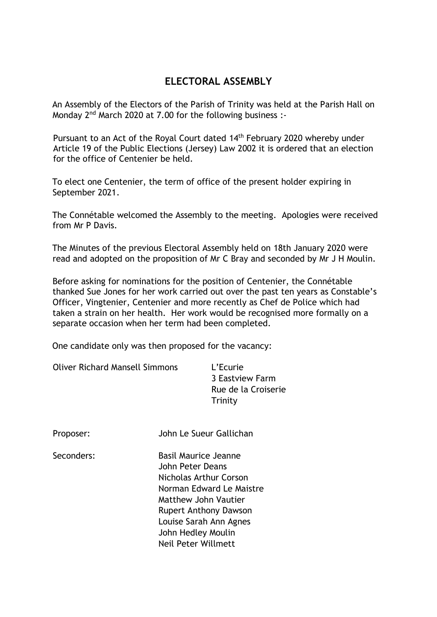## **ELECTORAL ASSEMBLY**

An Assembly of the Electors of the Parish of Trinity was held at the Parish Hall on Mondav 2<sup>nd</sup> March 2020 at 7.00 for the following business :-

Pursuant to an Act of the Royal Court dated 14<sup>th</sup> February 2020 whereby under Article 19 of the Public Elections (Jersey) Law 2002 it is ordered that an election for the office of Centenier be held.

To elect one Centenier, the term of office of the present holder expiring in September 2021.

The Connétable welcomed the Assembly to the meeting. Apologies were received from Mr P Davis.

The Minutes of the previous Electoral Assembly held on 18th January 2020 were read and adopted on the proposition of Mr C Bray and seconded by Mr J H Moulin.

Before asking for nominations for the position of Centenier, the Connétable thanked Sue Jones for her work carried out over the past ten years as Constable's Officer, Vingtenier, Centenier and more recently as Chef de Police which had taken a strain on her health. Her work would be recognised more formally on a separate occasion when her term had been completed.

One candidate only was then proposed for the vacancy:

| <b>Oliver Richard Mansell Simmons</b> | L'Ecurie            |
|---------------------------------------|---------------------|
|                                       | 3 Eastview Farm     |
|                                       | Rue de la Croiserie |
|                                       | Trinity             |

| Proposer: | John Le Sueur Gallichan |
|-----------|-------------------------|
|           |                         |

Seconders: Basil Maurice Jeanne John Peter Deans Nicholas Arthur Corson Norman Edward Le Maistre Matthew John Vautier Rupert Anthony Dawson Louise Sarah Ann Agnes John Hedley Moulin Neil Peter Willmett